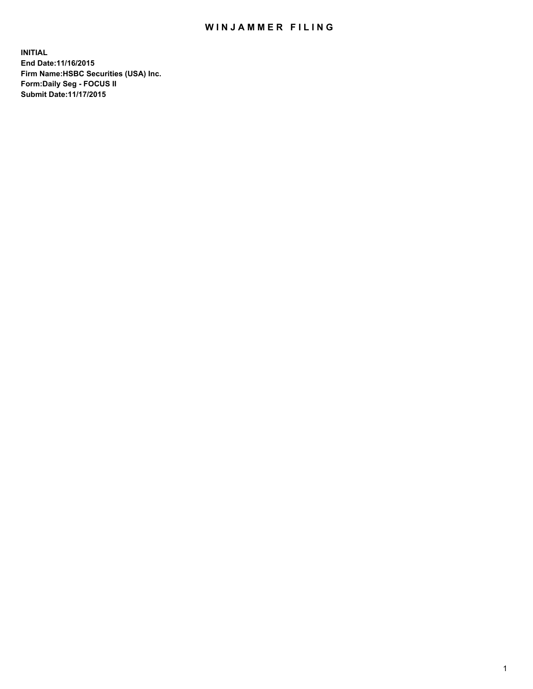## WIN JAMMER FILING

**INITIAL End Date:11/16/2015 Firm Name:HSBC Securities (USA) Inc. Form:Daily Seg - FOCUS II Submit Date:11/17/2015**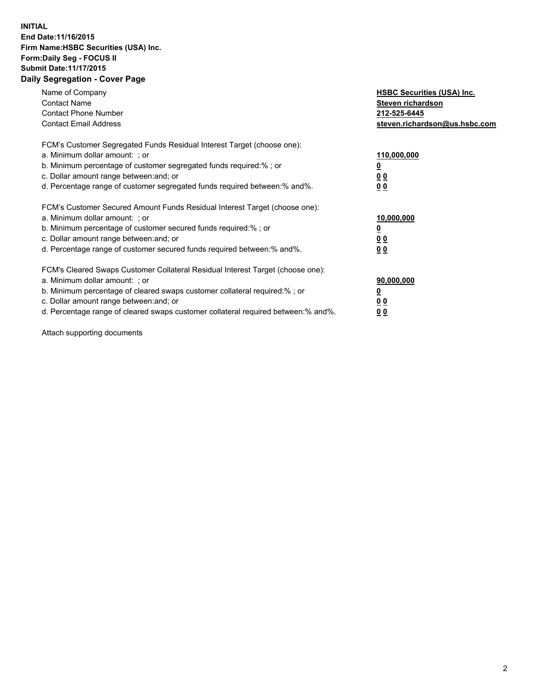## **INITIAL End Date:11/16/2015 Firm Name:HSBC Securities (USA) Inc. Form:Daily Seg - FOCUS II Submit Date:11/17/2015 Daily Segregation - Cover Page**

| Name of Company<br><b>Contact Name</b><br><b>Contact Phone Number</b><br><b>Contact Email Address</b>                                                                                                                                                                                                                         | <b>HSBC Securities (USA) Inc.</b><br>Steven richardson<br>212-525-6445<br>steven.richardson@us.hsbc.com |
|-------------------------------------------------------------------------------------------------------------------------------------------------------------------------------------------------------------------------------------------------------------------------------------------------------------------------------|---------------------------------------------------------------------------------------------------------|
| FCM's Customer Segregated Funds Residual Interest Target (choose one):<br>a. Minimum dollar amount: ; or<br>b. Minimum percentage of customer segregated funds required:% ; or<br>c. Dollar amount range between: and; or<br>d. Percentage range of customer segregated funds required between:% and%.                        | 110,000,000<br><u>0</u><br>0 <sub>0</sub><br>0 <sub>0</sub>                                             |
| FCM's Customer Secured Amount Funds Residual Interest Target (choose one):<br>a. Minimum dollar amount: ; or<br>b. Minimum percentage of customer secured funds required:%; or<br>c. Dollar amount range between: and; or<br>d. Percentage range of customer secured funds required between:% and%.                           | 10,000,000<br>0 <sub>0</sub><br>0 <sub>0</sub>                                                          |
| FCM's Cleared Swaps Customer Collateral Residual Interest Target (choose one):<br>a. Minimum dollar amount: ; or<br>b. Minimum percentage of cleared swaps customer collateral required:%; or<br>c. Dollar amount range between: and; or<br>d. Percentage range of cleared swaps customer collateral required between:% and%. | 90,000,000<br>0 <sub>0</sub><br>00                                                                      |

Attach supporting documents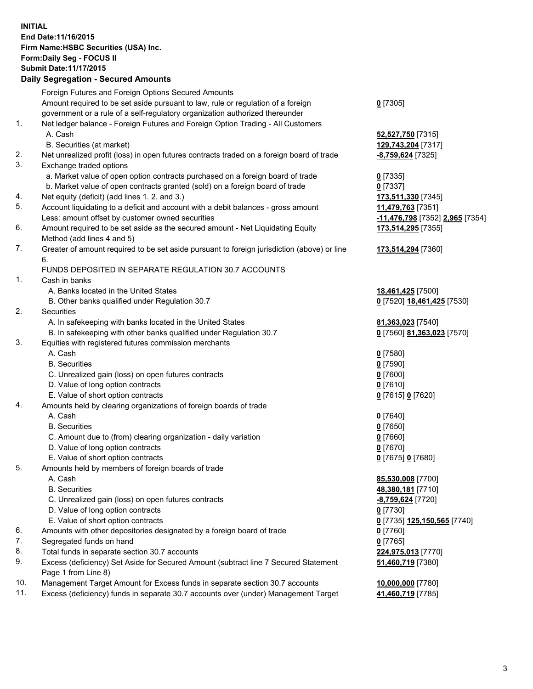**INITIAL End Date:11/16/2015 Firm Name:HSBC Securities (USA) Inc. Form:Daily Seg - FOCUS II Submit Date:11/17/2015**

## **Daily Segregation - Secured Amounts** Foreign Futures and Foreign Options Secured Amounts Amount required to be set aside pursuant to law, rule or regulation of a foreign government or a rule of a self-regulatory organization authorized thereunder **0** [7305] 1. Net ledger balance - Foreign Futures and Foreign Option Trading - All Customers A. Cash **52,527,750** [7315] B. Securities (at market) **129,743,204** [7317] 2. Net unrealized profit (loss) in open futures contracts traded on a foreign board of trade **-8,759,624** [7325] 3. Exchange traded options a. Market value of open option contracts purchased on a foreign board of trade **0** [7335] b. Market value of open contracts granted (sold) on a foreign board of trade **0** [7337] 4. Net equity (deficit) (add lines 1. 2. and 3.) **173,511,330** [7345] 5. Account liquidating to a deficit and account with a debit balances - gross amount **11,479,763** [7351] Less: amount offset by customer owned securities **-11,476,798** [7352] **2,965** [7354] 6. Amount required to be set aside as the secured amount - Net Liquidating Equity Method (add lines 4 and 5) **173,514,295** [7355] 7. Greater of amount required to be set aside pursuant to foreign jurisdiction (above) or line 6. **173,514,294** [7360] FUNDS DEPOSITED IN SEPARATE REGULATION 30.7 ACCOUNTS 1. Cash in banks A. Banks located in the United States **18,461,425** [7500] B. Other banks qualified under Regulation 30.7 **0** [7520] **18,461,425** [7530] 2. Securities A. In safekeeping with banks located in the United States **81,363,023** [7540] B. In safekeeping with other banks qualified under Regulation 30.7 **0** [7560] **81,363,023** [7570] 3. Equities with registered futures commission merchants A. Cash **0** [7580] B. Securities **0** [7590] C. Unrealized gain (loss) on open futures contracts **0** [7600] D. Value of long option contracts **0** [7610] E. Value of short option contracts **0** [7615] **0** [7620] 4. Amounts held by clearing organizations of foreign boards of trade A. Cash **0** [7640] B. Securities **0** [7650] C. Amount due to (from) clearing organization - daily variation **0** [7660] D. Value of long option contracts **0** [7670] E. Value of short option contracts **0** [7675] **0** [7680] 5. Amounts held by members of foreign boards of trade A. Cash **85,530,008** [7700] B. Securities **48,380,181** [7710] C. Unrealized gain (loss) on open futures contracts **-8,759,624** [7720]

- D. Value of long option contracts **0** [7730]
- E. Value of short option contracts **0** [7735] **125,150,565** [7740]
- 6. Amounts with other depositories designated by a foreign board of trade **0** [7760]
- 7. Segregated funds on hand **0** [7765]
- 8. Total funds in separate section 30.7 accounts **224,975,013** [7770]
- 9. Excess (deficiency) Set Aside for Secured Amount (subtract line 7 Secured Statement Page 1 from Line 8)
- 10. Management Target Amount for Excess funds in separate section 30.7 accounts **10,000,000** [7780]
- 11. Excess (deficiency) funds in separate 30.7 accounts over (under) Management Target **41,460,719** [7785]

**51,460,719** [7380]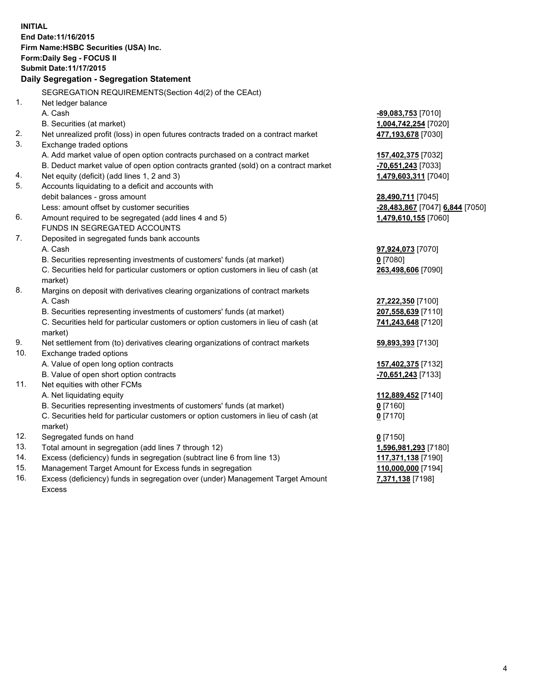**INITIAL End Date:11/16/2015 Firm Name:HSBC Securities (USA) Inc. Form:Daily Seg - FOCUS II Submit Date:11/17/2015 Daily Segregation - Segregation Statement** SEGREGATION REQUIREMENTS(Section 4d(2) of the CEAct) 1. Net ledger balance A. Cash **-89,083,753** [7010] B. Securities (at market) **1,004,742,254** [7020] 2. Net unrealized profit (loss) in open futures contracts traded on a contract market **477,193,678** [7030] 3. Exchange traded options A. Add market value of open option contracts purchased on a contract market **157,402,375** [7032] B. Deduct market value of open option contracts granted (sold) on a contract market **-70,651,243** [7033] 4. Net equity (deficit) (add lines 1, 2 and 3) **1,479,603,311** [7040] 5. Accounts liquidating to a deficit and accounts with debit balances - gross amount **28,490,711** [7045] Less: amount offset by customer securities **-28,483,867** [7047] **6,844** [7050] 6. Amount required to be segregated (add lines 4 and 5) **1,479,610,155** [7060] FUNDS IN SEGREGATED ACCOUNTS 7. Deposited in segregated funds bank accounts A. Cash **97,924,073** [7070] B. Securities representing investments of customers' funds (at market) **0** [7080] C. Securities held for particular customers or option customers in lieu of cash (at market) **263,498,606** [7090] 8. Margins on deposit with derivatives clearing organizations of contract markets A. Cash **27,222,350** [7100] B. Securities representing investments of customers' funds (at market) **207,558,639** [7110] C. Securities held for particular customers or option customers in lieu of cash (at market) **741,243,648** [7120] 9. Net settlement from (to) derivatives clearing organizations of contract markets **59,893,393** [7130] 10. Exchange traded options A. Value of open long option contracts **157,402,375** [7132] B. Value of open short option contracts **-70,651,243** [7133] 11. Net equities with other FCMs A. Net liquidating equity **112,889,452** [7140] B. Securities representing investments of customers' funds (at market) **0** [7160] C. Securities held for particular customers or option customers in lieu of cash (at market) **0** [7170] 12. Segregated funds on hand **0** [7150] 13. Total amount in segregation (add lines 7 through 12) **1,596,981,293** [7180] 14. Excess (deficiency) funds in segregation (subtract line 6 from line 13) **117,371,138** [7190] 15. Management Target Amount for Excess funds in segregation **110,000,000** [7194]

16. Excess (deficiency) funds in segregation over (under) Management Target Amount Excess

## **7,371,138** [7198]